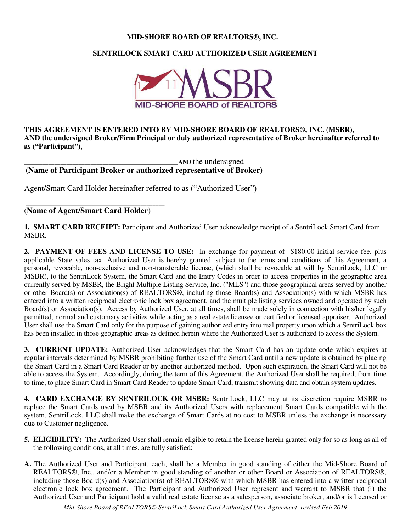#### **MID-SHORE BOARD OF REALTORS®, INC.**

## **SENTRILOCK SMART CARD AUTHORIZED USER AGREEMENT**



**THIS AGREEMENT IS ENTERED INTO BY MID-SHORE BOARD OF REALTORS®, INC. (MSBR), AND the undersigned Broker/Firm Principal or duly authorized representative of Broker hereinafter referred to as ("Participant"),** 

\_\_\_\_\_\_\_\_\_\_\_\_\_\_\_\_\_\_\_\_\_\_\_\_\_\_\_\_\_\_\_\_\_\_\_\_\_\_\_\_\_\_\_\_\_\_\_\_\_\_\_**AND** the undersigned (**Name of Participant Broker or authorized representative of Broker)** 

Agent/Smart Card Holder hereinafter referred to as ("Authorized User")

(**Name of Agent/Smart Card Holder)** 

\_\_\_\_\_\_\_\_\_\_\_\_\_\_\_\_\_\_\_\_\_\_\_\_\_\_\_\_\_\_\_\_\_\_\_\_\_\_\_\_\_\_\_\_\_\_

**1. SMART CARD RECEIPT:** Participant and Authorized User acknowledge receipt of a SentriLock Smart Card from MSBR.

**2. PAYMENT OF FEES AND LICENSE TO USE:** In exchange for payment of \$180.00 initial service fee, plus applicable State sales tax, Authorized User is hereby granted, subject to the terms and conditions of this Agreement, a personal, revocable, non-exclusive and non-transferable license, (which shall be revocable at will by SentriLock, LLC or MSBR), to the SentriLock System, the Smart Card and the Entry Codes in order to access properties in the geographic area currently served by MSBR, the Bright Multiple Listing Service, Inc. ("MLS") and those geographical areas served by another or other Board(s) or Association(s) of REALTORS®, including those Board(s) and Association(s) with which MSBR has entered into a written reciprocal electronic lock box agreement, and the multiple listing services owned and operated by such Board(s) or Association(s). Access by Authorized User, at all times, shall be made solely in connection with his/her legally permitted, normal and customary activities while acting as a real estate licensee or certified or licensed appraiser. Authorized User shall use the Smart Card only for the purpose of gaining authorized entry into real property upon which a SentriLock box has been installed in those geographic areas as defined herein where the Authorized User is authorized to access the System.

**3. CURRENT UPDATE:** Authorized User acknowledges that the Smart Card has an update code which expires at regular intervals determined by MSBR prohibiting further use of the Smart Card until a new update is obtained by placing the Smart Card in a Smart Card Reader or by another authorized method. Upon such expiration, the Smart Card will not be able to access the System. Accordingly, during the term of this Agreement, the Authorized User shall be required, from time to time, to place Smart Card in Smart Card Reader to update Smart Card, transmit showing data and obtain system updates.

**4. CARD EXCHANGE BY SENTRILOCK OR MSBR:** SentriLock, LLC may at its discretion require MSBR to replace the Smart Cards used by MSBR and its Authorized Users with replacement Smart Cards compatible with the system. SentriLock, LLC shall make the exchange of Smart Cards at no cost to MSBR unless the exchange is necessary due to Customer negligence.

- **5. ELIGIBILITY:** The Authorized User shall remain eligible to retain the license herein granted only for so as long as all of the following conditions, at all times, are fully satisfied:
- **A.** The Authorized User and Participant, each, shall be a Member in good standing of either the Mid-Shore Board of REALTORS®, Inc., and/or a Member in good standing of another or other Board or Association of REALTORS®, including those Board(s) and Association(s) of REALTORS® with which MSBR has entered into a written reciprocal electronic lock box agreement. The Participant and Authorized User represent and warrant to MSBR that (i) the Authorized User and Participant hold a valid real estate license as a salesperson, associate broker, and/or is licensed or

*Mid-Shore Board of REALTORS© SentriLock Smart Card Authorized User Agreement revised Feb 2019*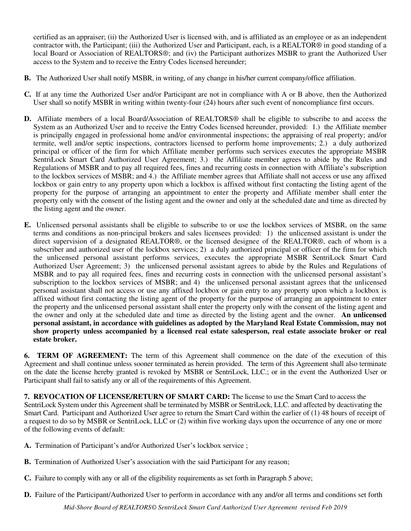certified as an appraiser; (ii) the Authorized User is licensed with, and is affiliated as an employee or as an independent contractor with, the Participant; (iii) the Authorized User and Participant, each, is a REALTOR® in good standing of a local Board or Association of REALTORS®; and (iv) the Participant authorizes MSBR to grant the Authorized User access to the System and to receive the Entry Codes licensed hereunder;

- **B.** The Authorized User shall notify MSBR, in writing, of any change in his/her current company/office affiliation.
- **C.** If at any time the Authorized User and/or Participant are not in compliance with A or B above, then the Authorized User shall so notify MSBR in writing within twenty-four (24) hours after such event of noncompliance first occurs.
- **D.** Affiliate members of a local Board/Association of REALTORS® shall be eligible to subscribe to and access the System as an Authorized User and to receive the Entry Codes licensed hereunder, provided: 1.) the Affiliate member is principally engaged in professional home and/or environmental inspections; the appraising of real property; and/or termite, well and/or septic inspections, contractors licensed to perform home improvements; 2.) a duly authorized principal or officer of the firm for which Affiliate member performs such services executes the appropriate MSBR SentriLock Smart Card Authorized User Agreement; 3.) the Affiliate member agrees to abide by the Rules and Regulations of MSBR and to pay all required fees, fines and recurring costs in connection with Affiliate's subscription to the lockbox services of MSBR; and 4.) the Affiliate member agrees that Affiliate shall not access or use any affixed lockbox or gain entry to any property upon which a lockbox is affixed without first contacting the listing agent of the property for the purpose of arranging an appointment to enter the property and Affiliate member shall enter the property only with the consent of the listing agent and the owner and only at the scheduled date and time as directed by the listing agent and the owner.
- **E.** Unlicensed personal assistants shall be eligible to subscribe to or use the lockbox services of MSBR, on the same terms and conditions as non-principal brokers and sales licensees provided: 1) the unlicensed assistant is under the direct supervision of a designated REALTOR®, or the licensed designee of the REALTOR®, each of whom is a subscriber and authorized user of the lockbox services; 2) a duly authorized principal or officer of the firm for which the unlicensed personal assistant performs services, executes the appropriate MSBR SentriLock Smart Card Authorized User Agreement; 3) the unlicensed personal assistant agrees to abide by the Rules and Regulations of MSBR and to pay all required fees, fines and recurring costs in connection with the unlicensed personal assistant's subscription to the lockbox services of MSBR; and 4) the unlicensed personal assistant agrees that the unlicensed personal assistant shall not access or use any affixed lockbox or gain entry to any property upon which a lockbox is affixed without first contacting the listing agent of the property for the purpose of arranging an appointment to enter the property and the unlicensed personal assistant shall enter the property only with the consent of the listing agent and the owner and only at the scheduled date and time as directed by the listing agent and the owner. **An unlicensed personal assistant, in accordance with guidelines as adopted by the Maryland Real Estate Commission, may not show property unless accompanied by a licensed real estate salesperson, real estate associate broker or real estate broker.**

**6. TERM OF AGREEMENT:** The term of this Agreement shall commence on the date of the execution of this Agreement and shall continue unless sooner terminated as herein provided. The term of this Agreement shall also terminate on the date the license hereby granted is revoked by MSBR or SentriLock, LLC.; or in the event the Authorized User or Participant shall fail to satisfy any or all of the requirements of this Agreement.

**7. REVOCATION OF LICENSE/RETURN OF SMART CARD:** The license to use the Smart Card to access the SentriLock System under this Agreement shall be terminated by MSBR or SentriLock, LLC. and affected by deactivating the Smart Card. Participant and Authorized User agree to return the Smart Card within the earlier of (1) 48 hours of receipt of a request to do so by MSBR or SentriLock, LLC or (2) within five working days upon the occurrence of any one or more of the following events of default:

- **A.** Termination of Participant's and/or Authorized User's lockbox service ;
- **B.** Termination of Authorized User's association with the said Participant for any reason;
- **C.** Failure to comply with any or all of the eligibility requirements as set forth in Paragraph 5 above;
- **D.** Failure of the Participant/Authorized User to perform in accordance with any and/or all terms and conditions set forth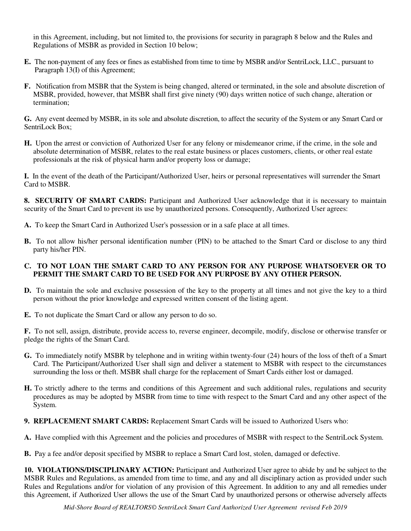in this Agreement, including, but not limited to, the provisions for security in paragraph 8 below and the Rules and Regulations of MSBR as provided in Section 10 below;

- **E.** The non-payment of any fees or fines as established from time to time by MSBR and/or SentriLock, LLC., pursuant to Paragraph 13(I) of this Agreement;
- **F.** Notification from MSBR that the System is being changed, altered or terminated, in the sole and absolute discretion of MSBR, provided, however, that MSBR shall first give ninety (90) days written notice of such change, alteration or termination;

**G.** Any event deemed by MSBR, in its sole and absolute discretion, to affect the security of the System or any Smart Card or SentriLock Box;

**H.** Upon the arrest or conviction of Authorized User for any felony or misdemeanor crime, if the crime, in the sole and absolute determination of MSBR, relates to the real estate business or places customers, clients, or other real estate professionals at the risk of physical harm and/or property loss or damage;

**I.** In the event of the death of the Participant/Authorized User, heirs or personal representatives will surrender the Smart Card to MSBR.

**8. SECURITY OF SMART CARDS:** Participant and Authorized User acknowledge that it is necessary to maintain security of the Smart Card to prevent its use by unauthorized persons. Consequently, Authorized User agrees:

**A.** To keep the Smart Card in Authorized User's possession or in a safe place at all times.

**B.** To not allow his/her personal identification number (PIN) to be attached to the Smart Card or disclose to any third party his/her PIN.

#### **C. TO NOT LOAN THE SMART CARD TO ANY PERSON FOR ANY PURPOSE WHATSOEVER OR TO PERMIT THE SMART CARD TO BE USED FOR ANY PURPOSE BY ANY OTHER PERSON.**

- **D.** To maintain the sole and exclusive possession of the key to the property at all times and not give the key to a third person without the prior knowledge and expressed written consent of the listing agent.
- **E.** To not duplicate the Smart Card or allow any person to do so.

**F.** To not sell, assign, distribute, provide access to, reverse engineer, decompile, modify, disclose or otherwise transfer or pledge the rights of the Smart Card.

- **G.** To immediately notify MSBR by telephone and in writing within twenty-four (24) hours of the loss of theft of a Smart Card. The Participant/Authorized User shall sign and deliver a statement to MSBR with respect to the circumstances surrounding the loss or theft. MSBR shall charge for the replacement of Smart Cards either lost or damaged.
- **H.** To strictly adhere to the terms and conditions of this Agreement and such additional rules, regulations and security procedures as may be adopted by MSBR from time to time with respect to the Smart Card and any other aspect of the System.
- **9. REPLACEMENT SMART CARDS:** Replacement Smart Cards will be issued to Authorized Users who:
- **A.** Have complied with this Agreement and the policies and procedures of MSBR with respect to the SentriLock System.
- **B.** Pay a fee and/or deposit specified by MSBR to replace a Smart Card lost, stolen, damaged or defective.

**10. VIOLATIONS/DISCIPLINARY ACTION:** Participant and Authorized User agree to abide by and be subject to the MSBR Rules and Regulations, as amended from time to time, and any and all disciplinary action as provided under such Rules and Regulations and/or for violation of any provision of this Agreement. In addition to any and all remedies under this Agreement, if Authorized User allows the use of the Smart Card by unauthorized persons or otherwise adversely affects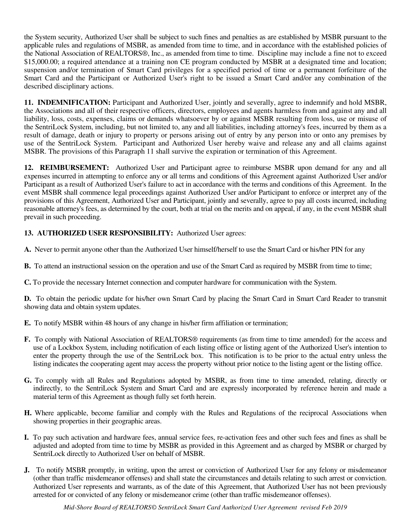the System security, Authorized User shall be subject to such fines and penalties as are established by MSBR pursuant to the applicable rules and regulations of MSBR, as amended from time to time, and in accordance with the established policies of the National Association of REALTORS®, Inc., as amended from time to time. Discipline may include a fine not to exceed \$15,000.00; a required attendance at a training non CE program conducted by MSBR at a designated time and location; suspension and/or termination of Smart Card privileges for a specified period of time or a permanent forfeiture of the Smart Card and the Participant or Authorized User's right to be issued a Smart Card and/or any combination of the described disciplinary actions.

**11. INDEMNIFICATION:** Participant and Authorized User, jointly and severally, agree to indemnify and hold MSBR, the Associations and all of their respective officers, directors, employees and agents harmless from and against any and all liability, loss, costs, expenses, claims or demands whatsoever by or against MSBR resulting from loss, use or misuse of the SentriLock System, including, but not limited to, any and all liabilities, including attorney's fees, incurred by them as a result of damage, death or injury to property or persons arising out of entry by any person into or onto any premises by use of the SentriLock System. Participant and Authorized User hereby waive and release any and all claims against MSBR. The provisions of this Paragraph 11 shall survive the expiration or termination of this Agreement.

**12. REIMBURSEMENT:** Authorized User and Participant agree to reimburse MSBR upon demand for any and all expenses incurred in attempting to enforce any or all terms and conditions of this Agreement against Authorized User and/or Participant as a result of Authorized User's failure to act in accordance with the terms and conditions of this Agreement. In the event MSBR shall commence legal proceedings against Authorized User and/or Participant to enforce or interpret any of the provisions of this Agreement, Authorized User and Participant, jointly and severally, agree to pay all costs incurred, including reasonable attorney's fees, as determined by the court, both at trial on the merits and on appeal, if any, in the event MSBR shall prevail in such proceeding.

# **13. AUTHORIZED USER RESPONSIBILITY:** Authorized User agrees:

- **A.** Never to permit anyone other than the Authorized User himself/herself to use the Smart Card or his/her PIN for any
- **B.** To attend an instructional session on the operation and use of the Smart Card as required by MSBR from time to time;
- **C.** To provide the necessary Internet connection and computer hardware for communication with the System.

**D.** To obtain the periodic update for his/her own Smart Card by placing the Smart Card in Smart Card Reader to transmit showing data and obtain system updates.

- **E.** To notify MSBR within 48 hours of any change in his/her firm affiliation or termination;
- **F.** To comply with National Association of REALTORS® requirements (as from time to time amended) for the access and use of a Lockbox System, including notification of each listing office or listing agent of the Authorized User's intention to enter the property through the use of the SentriLock box. This notification is to be prior to the actual entry unless the listing indicates the cooperating agent may access the property without prior notice to the listing agent or the listing office.
- **G.** To comply with all Rules and Regulations adopted by MSBR, as from time to time amended, relating, directly or indirectly, to the SentriLock System and Smart Card and are expressly incorporated by reference herein and made a material term of this Agreement as though fully set forth herein.
- **H.** Where applicable, become familiar and comply with the Rules and Regulations of the reciprocal Associations when showing properties in their geographic areas.
- **I.** To pay such activation and hardware fees, annual service fees, re-activation fees and other such fees and fines as shall be adjusted and adopted from time to time by MSBR as provided in this Agreement and as charged by MSBR or charged by SentriLock directly to Authorized User on behalf of MSBR.
- **J.** To notify MSBR promptly, in writing, upon the arrest or conviction of Authorized User for any felony or misdemeanor (other than traffic misdemeanor offenses) and shall state the circumstances and details relating to such arrest or conviction. Authorized User represents and warrants, as of the date of this Agreement, that Authorized User has not been previously arrested for or convicted of any felony or misdemeanor crime (other than traffic misdemeanor offenses).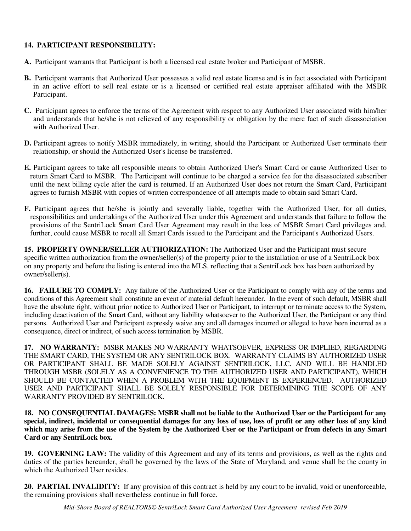### **14. PARTICIPANT RESPONSIBILITY:**

- **A.** Participant warrants that Participant is both a licensed real estate broker and Participant of MSBR.
- **B.** Participant warrants that Authorized User possesses a valid real estate license and is in fact associated with Participant in an active effort to sell real estate or is a licensed or certified real estate appraiser affiliated with the MSBR Participant.
- **C.** Participant agrees to enforce the terms of the Agreement with respect to any Authorized User associated with him/her and understands that he/she is not relieved of any responsibility or obligation by the mere fact of such disassociation with Authorized User.
- **D.** Participant agrees to notify MSBR immediately, in writing, should the Participant or Authorized User terminate their relationship, or should the Authorized User's license be transferred.
- **E.** Participant agrees to take all responsible means to obtain Authorized User's Smart Card or cause Authorized User to return Smart Card to MSBR. The Participant will continue to be charged a service fee for the disassociated subscriber until the next billing cycle after the card is returned. If an Authorized User does not return the Smart Card, Participant agrees to furnish MSBR with copies of written correspondence of all attempts made to obtain said Smart Card.
- **F.** Participant agrees that he/she is jointly and severally liable, together with the Authorized User, for all duties, responsibilities and undertakings of the Authorized User under this Agreement and understands that failure to follow the provisions of the SentriLock Smart Card User Agreement may result in the loss of MSBR Smart Card privileges and, further, could cause MSBR to recall all Smart Cards issued to the Participant and the Participant's Authorized Users.

**15. PROPERTY OWNER/SELLER AUTHORIZATION:** The Authorized User and the Participant must secure specific written authorization from the owner/seller(s) of the property prior to the installation or use of a SentriLock box on any property and before the listing is entered into the MLS, reflecting that a SentriLock box has been authorized by owner/seller(s).

**16. FAILURE TO COMPLY:** Any failure of the Authorized User or the Participant to comply with any of the terms and conditions of this Agreement shall constitute an event of material default hereunder. In the event of such default, MSBR shall have the absolute right, without prior notice to Authorized User or Participant, to interrupt or terminate access to the System, including deactivation of the Smart Card, without any liability whatsoever to the Authorized User, the Participant or any third persons. Authorized User and Participant expressly waive any and all damages incurred or alleged to have been incurred as a consequence, direct or indirect, of such access termination by MSBR.

**17. NO WARRANTY:** MSBR MAKES NO WARRANTY WHATSOEVER, EXPRESS OR IMPLIED, REGARDING THE SMART CARD, THE SYSTEM OR ANY SENTRILOCK BOX. WARRANTY CLAIMS BY AUTHORIZED USER OR PARTICIPANT SHALL BE MADE SOLELY AGAINST SENTRILOCK, LLC. AND WILL BE HANDLED THROUGH MSBR (SOLELY AS A CONVENIENCE TO THE AUTHORIZED USER AND PARTICIPANT), WHICH SHOULD BE CONTACTED WHEN A PROBLEM WITH THE EQUIPMENT IS EXPERIENCED. AUTHORIZED USER AND PARTICIPANT SHALL BE SOLELY RESPONSIBLE FOR DETERMINING THE SCOPE OF ANY WARRANTY PROVIDED BY SENTRILOCK.

**18. NO CONSEQUENTIAL DAMAGES: MSBR shall not be liable to the Authorized User or the Participant for any special, indirect, incidental or consequential damages for any loss of use, loss of profit or any other loss of any kind which may arise from the use of the System by the Authorized User or the Participant or from defects in any Smart Card or any SentriLock box.**

**19. GOVERNING LAW:** The validity of this Agreement and any of its terms and provisions, as well as the rights and duties of the parties hereunder, shall be governed by the laws of the State of Maryland, and venue shall be the county in which the Authorized User resides.

**20. PARTIAL INVALIDITY:** If any provision of this contract is held by any court to be invalid, void or unenforceable, the remaining provisions shall nevertheless continue in full force.